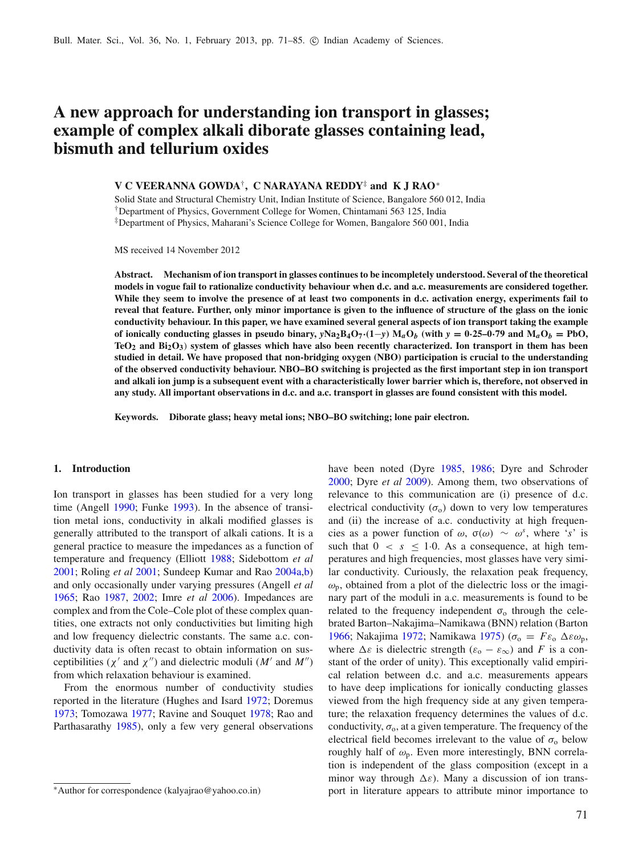# **A new approach for understanding ion transport in glasses; example of complex alkali diborate glasses containing lead, bismuth and tellurium oxides**

# **V C VEERANNA GOWDA**†**, C NARAYANA REDDY**‡ **and K J RAO**<sup>∗</sup>

Solid State and Structural Chemistry Unit, Indian Institute of Science, Bangalore 560 012, India †Department of Physics, Government College for Women, Chintamani 563 125, India ‡Department of Physics, Maharani's Science College for Women, Bangalore 560 001, India

MS received 14 November 2012

**Abstract. Mechanism of ion transport in glasses continues to be incompletely understood. Several of the theoretical models in vogue fail to rationalize conductivity behaviour when d.c. and a.c. measurements are considered together. While they seem to involve the presence of at least two components in d.c. activation energy, experiments fail to reveal that feature. Further, only minor importance is given to the influence of structure of the glass on the ionic conductivity behaviour. In this paper, we have examined several general aspects of ion transport taking the example** of ionically conducting glasses in pseudo binary,  $yNa_2B_4O_7(1-y)M_aO_b$  (with  $y = 0.25-0.79$  and  $M_aO_b = PbO$ , **TeO2 and Bi2O3**) **system of glasses which have also been recently characterized. Ion transport in them has been studied in detail. We have proposed that non-bridging oxygen (NBO) participation is crucial to the understanding of the observed conductivity behaviour. NBO–BO switching is projected as the first important step in ion transport and alkali ion jump is a subsequent event with a characteristically lower barrier which is, therefore, not observed in any study. All important observations in d.c. and a.c. transport in glasses are found consistent with this model.**

**Keywords. Diborate glass; heavy metal ions; NBO–BO switching; lone pair electron.**

## **1. Introduction**

Ion transport in glasses has been studied for a very long time (Angel[l](#page-13-0) [1990](#page-13-0); Funk[e](#page-13-1) [1993](#page-13-1)). In the absence of transition metal ions, conductivity in alkali modified glasses is generally attributed to the transport of alkali cations. It is a general practice to measure the impedances as a function of temperature and frequency (Elliot[t](#page-13-2) [1988](#page-13-2); Sidebottom *et a[l](#page-13-3)* [2001;](#page-13-3) Roling *et a[l](#page-13-4)* [2001;](#page-13-4) Sundeep Kumar and Ra[o](#page-14-0) [2004a](#page-14-0)[,b](#page-14-1)) and only occasionally under varying pressures (Angell *et a[l](#page-13-5)* [1965;](#page-13-5) Ra[o](#page-13-6) [1987,](#page-13-6) [2002](#page-13-7); Imre *et a[l](#page-13-8)* [2006\)](#page-13-8). Impedances are complex and from the Cole–Cole plot of these complex quantities, one extracts not only conductivities but limiting high and low frequency dielectric constants. The same a.c. conductivity data is often recast to obtain information on susceptibilities ( $\chi'$  and  $\chi''$ ) and dielectric moduli (*M'* and *M"*) from which relaxation behaviour is examined.

From the enormous number of conductivity studies reported in the literature (Hughes and Isar[d](#page-13-9) [1972](#page-13-9); Doremu[s](#page-13-10) [1973;](#page-13-10) Tomozaw[a](#page-14-2) [1977](#page-14-2); Ravine and Souque[t](#page-13-11) [1978](#page-13-11); Rao and Parthasarath[y](#page-13-12) [1985](#page-13-12)), only a few very general observations have been noted (Dyr[e](#page-13-13) [1985,](#page-13-13) [1986;](#page-13-14) Dyre and Schrode[r](#page-13-15) [2000;](#page-13-15) Dyre *et a[l](#page-13-16)* [2009](#page-13-16)). Among them, two observations of relevance to this communication are (i) presence of d.c. electrical conductivity  $(\sigma_0)$  down to very low temperatures and (ii) the increase of a.c. conductivity at high frequencies as a power function of  $\omega$ ,  $\sigma(\omega) \sim \omega^s$ , where '*s*' is such that  $0 \leq s \leq 1.0$ . As a consequence, at high temperatures and high frequencies, most glasses have very similar conductivity. Curiously, the relaxation peak frequency,  $\omega_{\rm p}$ , obtained from a plot of the dielectric loss or the imaginary part of the moduli in a.c. measurements is found to be related to the frequency independent  $\sigma_0$  through the celebrated Barton–Nakajima–Namikawa (BNN) relation (Barto[n](#page-13-17) [1966;](#page-13-17) N[a](#page-13-19)kajima [1972;](#page-13-18) Namikawa [1975\)](#page-13-19) ( $\sigma$ <sub>o</sub> =  $Fε$ <sub>o</sub> Δεω<sub>p</sub>, where  $\Delta \varepsilon$  is dielectric strength ( $\varepsilon_0 - \varepsilon_{\infty}$ ) and *F* is a constant of the order of unity). This exceptionally valid empirical relation between d.c. and a.c. measurements appears to have deep implications for ionically conducting glasses viewed from the high frequency side at any given temperature; the relaxation frequency determines the values of d.c. conductivity,  $\sigma_0$ , at a given temperature. The frequency of the electrical field becomes irrelevant to the value of  $\sigma_0$  below roughly half of  $\omega_{p}$ . Even more interestingly, BNN correlation is independent of the glass composition (except in a minor way through  $\Delta \varepsilon$ ). Many a discussion of ion transport in literature appears to attribute minor importance to

<sup>∗</sup>Author for correspondence (kalyajrao@yahoo.co.in)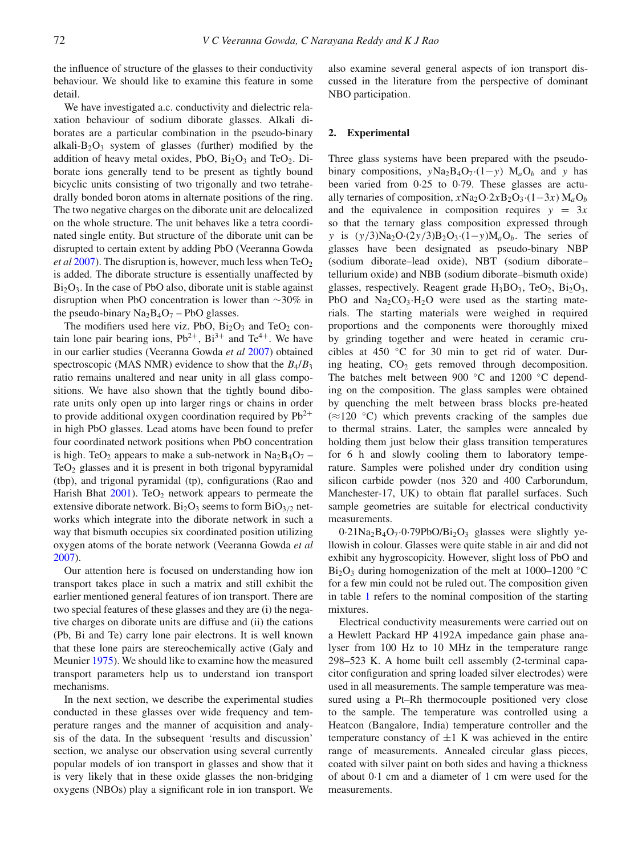the influence of structure of the glasses to their conductivity behaviour. We should like to examine this feature in some detail.

We have investigated a.c. conductivity and dielectric relaxation behaviour of sodium diborate glasses. Alkali diborates are a particular combination in the pseudo-binary alkali- $B_2O_3$  system of glasses (further) modified by the addition of heavy metal oxides, PbO,  $Bi<sub>2</sub>O<sub>3</sub>$  and TeO<sub>2</sub>. Diborate ions generally tend to be present as tightly bound bicyclic units consisting of two trigonally and two tetrahedrally bonded boron atoms in alternate positions of the ring. The two negative charges on the diborate unit are delocalized on the whole structure. The unit behaves like a tetra coordinated single entity. But structure of the diborate unit can be disrupted to certain extent by adding PbO (Veeranna Gowda *et a[l](#page-14-3)* [2007](#page-14-3)). The disruption is, however, much less when  $TeO<sub>2</sub>$ is added. The diborate structure is essentially unaffected by  $Bi<sub>2</sub>O<sub>3</sub>$ . In the case of PbO also, diborate unit is stable against disruption when PbO concentration is lower than ∼30% in the pseudo-binary  $Na<sub>2</sub>B<sub>4</sub>O<sub>7</sub> - PbO$  glasses.

The modifiers used here viz. PbO,  $Bi<sub>2</sub>O<sub>3</sub>$  and TeO<sub>2</sub> contain lone pair bearing ions,  $Pb^{2+}$ ,  $Bi^{3+}$  and  $Te^{4+}$ . We have in our earlier studies (Veeranna Gowda *et a[l](#page-14-3)* [2007](#page-14-3)) obtained spectroscopic (MAS NMR) evidence to show that the *B*4/*B*<sup>3</sup> ratio remains unaltered and near unity in all glass compositions. We have also shown that the tightly bound diborate units only open up into larger rings or chains in order to provide additional oxygen coordination required by  $Pb^{2+}$ in high PbO glasses. Lead atoms have been found to prefer four coordinated network positions when PbO concentration is high. TeO<sub>2</sub> appears to make a sub-network in  $Na<sub>2</sub>B<sub>4</sub>O<sub>7</sub>$  –  $TeO<sub>2</sub>$  glasses and it is present in both trigonal bypyramidal (tbp), and trigonal pyramidal (tp), configurations (Rao and Harish Bha[t](#page-13-20)  $2001$ ). TeO<sub>2</sub> network appears to permeate the extensive diborate network.  $Bi<sub>2</sub>O<sub>3</sub>$  seems to form  $BiO<sub>3/2</sub>$  networks which integrate into the diborate network in such a way that bismuth occupies six coordinated position utilizing oxygen atoms of the borate network (Veeranna Gowda *et a[l](#page-14-3)* [2007\)](#page-14-3).

Our attention here is focused on understanding how ion transport takes place in such a matrix and still exhibit the earlier mentioned general features of ion transport. There are two special features of these glasses and they are (i) the negative charges on diborate units are diffuse and (ii) the cations (Pb, Bi and Te) carry lone pair electrons. It is well known that these lone pairs are stereochemically active (Galy and Meunie[r](#page-13-21) [1975](#page-13-21)). We should like to examine how the measured transport parameters help us to understand ion transport mechanisms.

In the next section, we describe the experimental studies conducted in these glasses over wide frequency and temperature ranges and the manner of acquisition and analysis of the data. In the subsequent 'results and discussion' section, we analyse our observation using several currently popular models of ion transport in glasses and show that it is very likely that in these oxide glasses the non-bridging oxygens (NBOs) play a significant role in ion transport. We also examine several general aspects of ion transport discussed in the literature from the perspective of dominant NBO participation.

## **2. Experimental**

Three glass systems have been prepared with the pseudobinary compositions,  $yNa_2B_4O_7·(1-y)$   $M_aO_b$  and *y* has been varied from 0·25 to 0·79. These glasses are actually ternaries of composition,  $x\text{Na}_2\text{O}·2x\text{B}_2\text{O}_3·(1-3x)\text{M}_a\text{O}_b$ and the equivalence in composition requires  $y = 3x$ so that the ternary glass composition expressed through *y* is (*y*/3)Na<sub>2</sub>O·(2*y*/3)B<sub>2</sub>O<sub>3</sub>·(1−*y*)M<sub>a</sub>O<sub>b</sub>. The series of glasses have been designated as pseudo-binary NBP (sodium diborate–lead oxide), NBT (sodium diborate– tellurium oxide) and NBB (sodium diborate–bismuth oxide) glasses, respectively. Reagent grade  $H_3BO_3$ , TeO<sub>2</sub>, Bi<sub>2</sub>O<sub>3</sub>, PbO and  $Na<sub>2</sub>CO<sub>3</sub>·H<sub>2</sub>O$  were used as the starting materials. The starting materials were weighed in required proportions and the components were thoroughly mixed by grinding together and were heated in ceramic crucibles at 450 ◦C for 30 min to get rid of water. During heating,  $CO<sub>2</sub>$  gets removed through decomposition. The batches melt between 900 ◦C and 1200 ◦C depending on the composition. The glass samples were obtained by quenching the melt between brass blocks pre-heated  $(\approx 120 \degree C)$  which prevents cracking of the samples due to thermal strains. Later, the samples were annealed by holding them just below their glass transition temperatures for 6 h and slowly cooling them to laboratory temperature. Samples were polished under dry condition using silicon carbide powder (nos 320 and 400 Carborundum, Manchester-17, UK) to obtain flat parallel surfaces. Such sample geometries are suitable for electrical conductivity measurements.

 $0.21$ Na<sub>2</sub>B<sub>4</sub>O<sub>7</sub> $\cdot$ 0 $\cdot$ 79PbO/Bi<sub>2</sub>O<sub>3</sub> glasses were slightly yellowish in colour. Glasses were quite stable in air and did not exhibit any hygroscopicity. However, slight loss of PbO and  $Bi<sub>2</sub>O<sub>3</sub>$  during homogenization of the melt at 1000–1200 °C for a few min could not be ruled out. The composition given in table [1](#page-2-0) refers to the nominal composition of the starting mixtures.

Electrical conductivity measurements were carried out on a Hewlett Packard HP 4192A impedance gain phase analyser from 100 Hz to 10 MHz in the temperature range 298–523 K. A home built cell assembly (2-terminal capacitor configuration and spring loaded silver electrodes) were used in all measurements. The sample temperature was measured using a Pt–Rh thermocouple positioned very close to the sample. The temperature was controlled using a Heatcon (Bangalore, India) temperature controller and the temperature constancy of  $\pm 1$  K was achieved in the entire range of measurements. Annealed circular glass pieces, coated with silver paint on both sides and having a thickness of about 0·1 cm and a diameter of 1 cm were used for the measurements.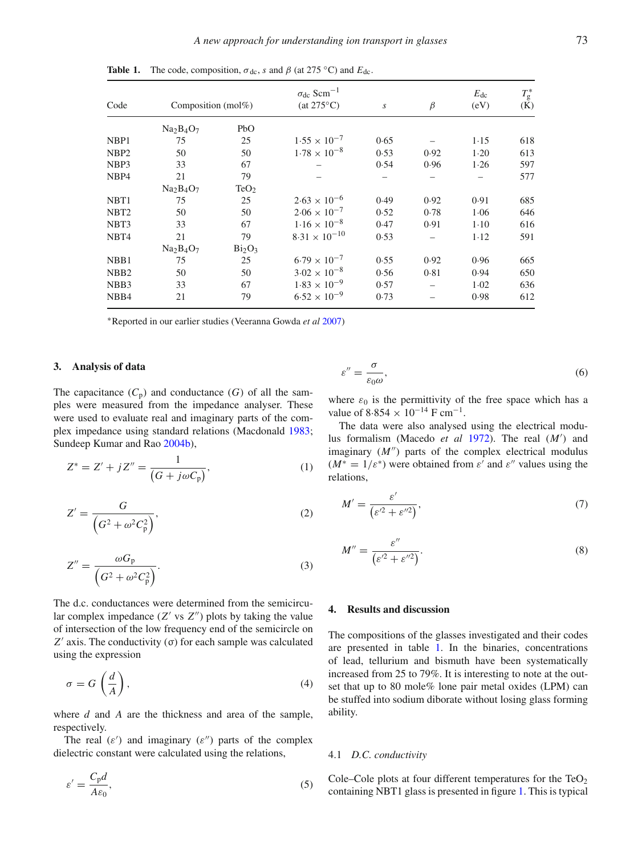|                   |                        |                                | $\sigma_{\text{dc}}$ Scm <sup>-1</sup> |                  |         | $E_{dc}$ | $T_g^*$ |
|-------------------|------------------------|--------------------------------|----------------------------------------|------------------|---------|----------|---------|
| Code              | Composition (mol $%$ ) |                                | $(at 275^{\circ}C)$                    | $\boldsymbol{S}$ | $\beta$ | (eV)     | (K)     |
|                   | $Na2B4O7$              | PbO                            |                                        |                  |         |          |         |
| NBP1              | 75                     | 25                             | $1.55 \times 10^{-7}$                  | 0.65             |         | $1 - 15$ | 618     |
| NBP <sub>2</sub>  | 50                     | 50                             | $1.78 \times 10^{-8}$                  | 0.53             | 0.92    | $1-20$   | 613     |
| NBP3              | 33                     | 67                             |                                        | 0.54             | 0.96    | 1.26     | 597     |
| NBP4              | 21                     | 79                             |                                        |                  |         |          | 577     |
|                   | $Na2B4O7$              | TeO <sub>2</sub>               |                                        |                  |         |          |         |
| NBT <sub>1</sub>  | 75                     | 25                             | $2.63 \times 10^{-6}$                  | 0.49             | 0.92    | 0.91     | 685     |
| NBT <sub>2</sub>  | 50                     | 50                             | $2.06 \times 10^{-7}$                  | 0.52             | 0.78    | 1.06     | 646     |
| NBT3              | 33                     | 67                             | $1.16 \times 10^{-8}$                  | 0.47             | 0.91    | $1-10$   | 616     |
| NBT4              | 21                     | 79                             | $8.31 \times 10^{-10}$                 | 0.53             |         | $1-12$   | 591     |
|                   | $Na2B4O7$              | Bi <sub>2</sub> O <sub>3</sub> |                                        |                  |         |          |         |
| NBB1              | 75                     | 25                             | $6.79 \times 10^{-7}$                  | 0.55             | 0.92    | 0.96     | 665     |
| NB <sub>B2</sub>  | 50                     | 50                             | $3.02 \times 10^{-8}$                  | 0.56             | 0.81    | 0.94     | 650     |
| NB <sub>B</sub> 3 | 33                     | 67                             | $1.83 \times 10^{-9}$                  | 0.57             |         | $1-02$   | 636     |
| NB <sub>B4</sub>  | 21                     | 79                             | $6.52 \times 10^{-9}$                  | 0.73             |         | 0.98     | 612     |

<span id="page-2-0"></span>**Table 1.** The code, composition,  $\sigma_{\text{dc}}$ , *s* and  $\beta$  (at 275 °C) and  $E_{\text{dc}}$ .

<sup>∗</sup>Reported in our earlier studies (Veeranna Gowda *et a[l](#page-14-3)* [2007](#page-14-3))

#### **3. Analysis of data**

The capacitance  $(C_p)$  and conductance  $(G)$  of all the samples were measured from the impedance analyser. These were used to evaluate real and imaginary parts of the complex impedance using standard relations (Macdonal[d](#page-13-22) [1983;](#page-13-22) Sundeep Kumar and Ra[o](#page-14-1) [2004b\)](#page-14-1),

$$
Z^* = Z' + jZ'' = \frac{1}{(G + j\omega C_p)},
$$
\n(1)

$$
Z' = \frac{G}{\left(G^2 + \omega^2 C_p^2\right)},\tag{2}
$$

$$
Z'' = \frac{\omega G_{\rm p}}{\left(G^2 + \omega^2 C_{\rm p}^2\right)}.\tag{3}
$$

The d.c. conductances were determined from the semicircular complex impedance  $(Z'$  vs  $Z'')$  plots by taking the value of intersection of the low frequency end of the semicircle on *Z'* axis. The conductivity  $(σ)$  for each sample was calculated using the expression

$$
\sigma = G\left(\frac{d}{A}\right),\tag{4}
$$

where *d* and *A* are the thickness and area of the sample, respectively.

The real  $(\varepsilon')$  and imaginary  $(\varepsilon'')$  parts of the complex dielectric constant were calculated using the relations,

$$
\varepsilon' = \frac{C_{\rm p}d}{A\varepsilon_0},\tag{5}
$$

$$
\varepsilon'' = \frac{\sigma}{\varepsilon_0 \omega},\tag{6}
$$

where  $\varepsilon_0$  is the permittivity of the free space which has a value of  $8.854 \times 10^{-14}$  F cm<sup>-1</sup>.

The data were also analysed using the electrical modulus formalism (Macedo *et a[l](#page-13-23)* [1972](#page-13-23)). The real (*M* ) and imaginary  $(M'')$  parts of the complex electrical modulus  $(M^* = 1/\varepsilon^*)$  were obtained from  $\varepsilon'$  and  $\varepsilon''$  values using the relations,

$$
M' = \frac{\varepsilon'}{\left(\varepsilon'^2 + \varepsilon''^2\right)},\tag{7}
$$

$$
M'' = \frac{\varepsilon''}{\left(\varepsilon'^2 + \varepsilon''^2\right)}.\tag{8}
$$

### **4. Results and discussion**

The compositions of the glasses investigated and their codes are presented in table [1.](#page-2-0) In the binaries, concentrations of lead, tellurium and bismuth have been systematically increased from 25 to 79%. It is interesting to note at the outset that up to 80 mole% lone pair metal oxides (LPM) can be stuffed into sodium diborate without losing glass forming ability.

#### 4.1 *D.C. conductivity*

Cole–Cole plots at four different temperatures for the  $TeO<sub>2</sub>$ containing NBT1 glass is presented in figure [1.](#page-3-0) This is typical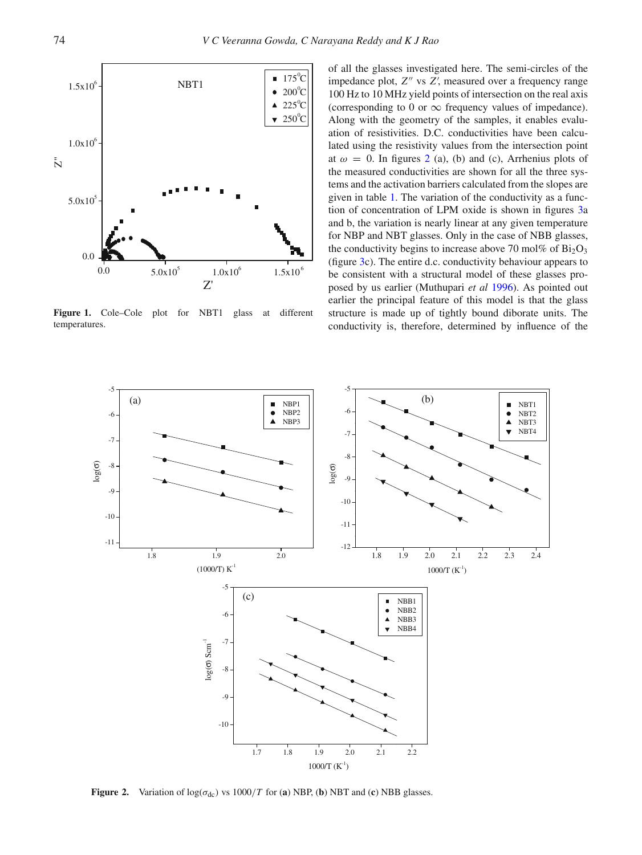<span id="page-3-0"></span>

**Figure 1.** Cole–Cole plot for NBT1 glass at different temperatures.

of all the glasses investigated here. The semi-circles of the impedance plot, Z" vs Z', measured over a frequency range 100 Hz to 10 MHz yield points of intersection on the real axis (corresponding to 0 or  $\infty$  frequency values of impedance). Along with the geometry of the samples, it enables evaluation of resistivities. D.C. conductivities have been calculated using the resistivity values from the intersection point at  $\omega = 0$ . In figures [2](#page-3-1) (a), (b) and (c), Arrhenius plots of the measured conductivities are shown for all the three systems and the activation barriers calculated from the slopes are given in table [1.](#page-2-0) The variation of the conductivity as a function of concentration of LPM oxide is shown in figures [3a](#page-4-0) and b, the variation is nearly linear at any given temperature for NBP and NBT glasses. Only in the case of NBB glasses, the conductivity begins to increase above 70 mol% of  $Bi<sub>2</sub>O<sub>3</sub>$ (figure [3c](#page-4-0)). The entire d.c. conductivity behaviour appears to be consistent with a structural model of these glasses proposed by us earlier (Muthupari *et a[l](#page-13-24)* [1996](#page-13-24)). As pointed out earlier the principal feature of this model is that the glass structure is made up of tightly bound diborate units. The conductivity is, therefore, determined by influence of the

<span id="page-3-1"></span>

**Figure 2.** Variation of  $\log(\sigma_{dc})$  vs  $1000/T$  for (**a**) NBP, (**b**) NBT and (**c**) NBB glasses.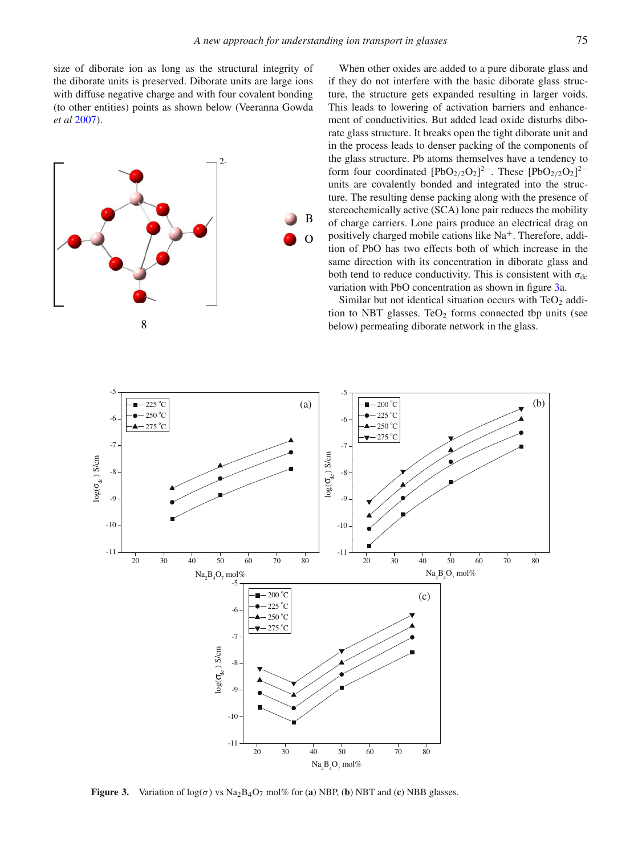size of diborate ion as long as the structural integrity of the diborate units is preserved. Diborate units are large ions with diffuse negative charge and with four covalent bonding (to other entities) points as shown below (Veeranna Gowda *et a[l](#page-14-3)* [2007](#page-14-3)).



When other oxides are added to a pure diborate glass and if they do not interfere with the basic diborate glass structure, the structure gets expanded resulting in larger voids. This leads to lowering of activation barriers and enhancement of conductivities. But added lead oxide disturbs diborate glass structure. It breaks open the tight diborate unit and in the process leads to denser packing of the components of the glass structure. Pb atoms themselves have a tendency to form four coordinated  $[PbO_{2/2}O_2]^{2-}$ . These  $[PbO_{2/2}O_2]^{2-}$ units are covalently bonded and integrated into the structure. The resulting dense packing along with the presence of stereochemically active (SCA) lone pair reduces the mobility of charge carriers. Lone pairs produce an electrical drag on positively charged mobile cations like  $Na<sup>+</sup>$ . Therefore, addition of PbO has two effects both of which increase in the same direction with its concentration in diborate glass and both tend to reduce conductivity. This is consistent with  $\sigma_{dc}$ variation with PbO concentration as shown in figure [3a](#page-4-0).

Similar but not identical situation occurs with  $TeO<sub>2</sub>$  addition to NBT glasses. TeO<sub>2</sub> forms connected tbp units (see below) permeating diborate network in the glass.

<span id="page-4-0"></span>

**Figure 3.** Variation of  $\log(\sigma)$  vs  $\text{Na}_2\text{Ba}_2\text{O}_7$  mol% for (**a**) NBP, (**b**) NBT and (**c**) NBB glasses.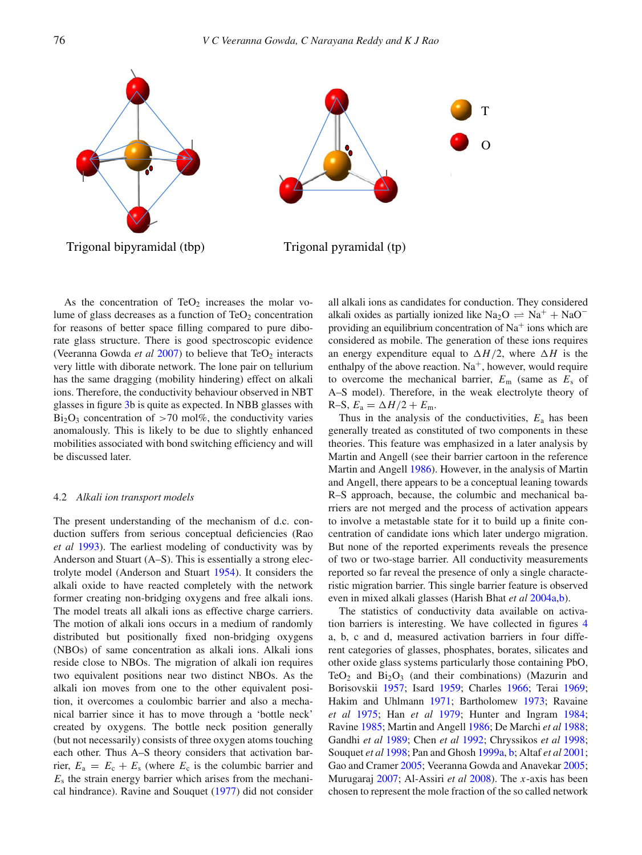

As the concentration of TeO<sub>2</sub> increases the molar volume of glass decreases as a function of  $TeO<sub>2</sub>$  concentration for reasons of better space filling compared to pure diborate glass structure. There is good spectroscopic evidence (Veeranna Gowda *et a[l](#page-14-3)*  $2007$ ) to believe that TeO<sub>2</sub> interacts very little with diborate network. The lone pair on tellurium has the same dragging (mobility hindering) effect on alkali ions. Therefore, the conductivity behaviour observed in NBT glasses in figure [3b](#page-4-0) is quite as expected. In NBB glasses with  $Bi<sub>2</sub>O<sub>3</sub>$  concentration of >70 mol%, the conductivity varies anomalously. This is likely to be due to slightly enhanced mobilities associated with bond switching efficiency and will be discussed later.

# 4.2 *Alkali ion transport models*

The present understanding of the mechanism of d.c. conduction suffers from serious conceptual deficiencies (Rao *et a[l](#page-13-25)* [1993](#page-13-25)). The earliest modeling of conductivity was by Anderson and Stuart (A–S). This is essentially a strong electrolyte model (Anderson and Stuar[t](#page-13-26) [1954](#page-13-26)). It considers the alkali oxide to have reacted completely with the network former creating non-bridging oxygens and free alkali ions. The model treats all alkali ions as effective charge carriers. The motion of alkali ions occurs in a medium of randomly distributed but positionally fixed non-bridging oxygens (NBOs) of same concentration as alkali ions. Alkali ions reside close to NBOs. The migration of alkali ion requires two equivalent positions near two distinct NBOs. As the alkali ion moves from one to the other equivalent position, it overcomes a coulombic barrier and also a mechanical barrier since it has to move through a 'bottle neck' created by oxygens. The bottle neck position generally (but not necessarily) consists of three oxygen atoms touching each other. Thus A–S theory considers that activation barrier,  $E_a = E_c + E_s$  (where  $E_c$  is the columbic barrier and  $E<sub>s</sub>$  the strain energy barrier which arises from the mechanical hindrance). Ravine and Souque[t](#page-13-27) [\(1977](#page-13-27)) did not consider

all alkali ions as candidates for conduction. They considered alkali oxides as partially ionized like Na<sub>2</sub>O  $\rightleftharpoons$  Na<sup>+</sup> + NaO<sup>-</sup> providing an equilibrium concentration of  $Na<sup>+</sup>$  ions which are considered as mobile. The generation of these ions requires an energy expenditure equal to  $\Delta H/2$ , where  $\Delta H$  is the enthalpy of the above reaction.  $Na<sup>+</sup>$ , however, would require to overcome the mechanical barrier, *E*<sup>m</sup> (same as *E*<sup>s</sup> of A–S model). Therefore, in the weak electrolyte theory of  $R-S, E_a = \Delta H/2 + E_m.$ 

Thus in the analysis of the conductivities,  $E_a$  has been generally treated as constituted of two components in these theories. This feature was emphasized in a later analysis by Martin and Angell (see their barrier cartoon in the reference Martin and Angell [1986](#page-13-28)). However, in the analysis of Martin and Angell, there appears to be a conceptual leaning towards R–S approach, because, the columbic and mechanical barriers are not merged and the process of activation appears to involve a metastable state for it to build up a finite concentration of candidate ions which later undergo migration. But none of the reported experiments reveals the presence of two or two-stage barrier. All conductivity measurements reported so far reveal the presence of only a single characteristic migration barrier. This single barrier feature is observed even in mixed alkali glasses (Harish Bhat *et a[l](#page-13-29)* [2004a](#page-13-29)[,b\)](#page-13-30).

The statistics of conductivity data available on activation barriers is interesting. We have collected in figures [4](#page-6-0) a, b, c and d, measured activation barriers in four different categories of glasses, phosphates, borates, silicates and other oxide glass systems particularly those containing PbO, TeO<sub>2</sub> and  $Bi<sub>2</sub>O<sub>3</sub>$  (and their combinations) (Mazurin and Borisovskii [1957](#page-13-31); Isard [1959](#page-13-32); Charles [1966](#page-13-33); Terai [1969;](#page-14-4) Hakim and Uhlmann [1971;](#page-13-34) Bartholomew [1973;](#page-13-35) Ravaine *et al* [1975;](#page-13-36) Han *et al* [1979](#page-13-37); Hunter and Ingram [1984;](#page-13-38) Ravine [1985;](#page-13-39) Martin and Angell [1986](#page-13-28); De Marchi *et al* [1988;](#page-13-40) Gandhi *et al* [1989](#page-13-41); Chen *et al* [1992;](#page-13-42) Chryssikos *et al* [1998;](#page-13-43) Souquet *et al* [1998;](#page-13-44) Pan and Ghosh [1999a,](#page-13-45) [b;](#page-13-46) Altaf *et al* [2001;](#page-13-47) Gao and Cramer [2005;](#page-13-48) Veeranna Gowda and Anavekar [2005;](#page-14-5) Murugaraj [2007;](#page-13-49) Al-Assiri *et al* [2008\)](#page-13-50). The *x*-axis has been chosen to represent the mole fraction of the so called network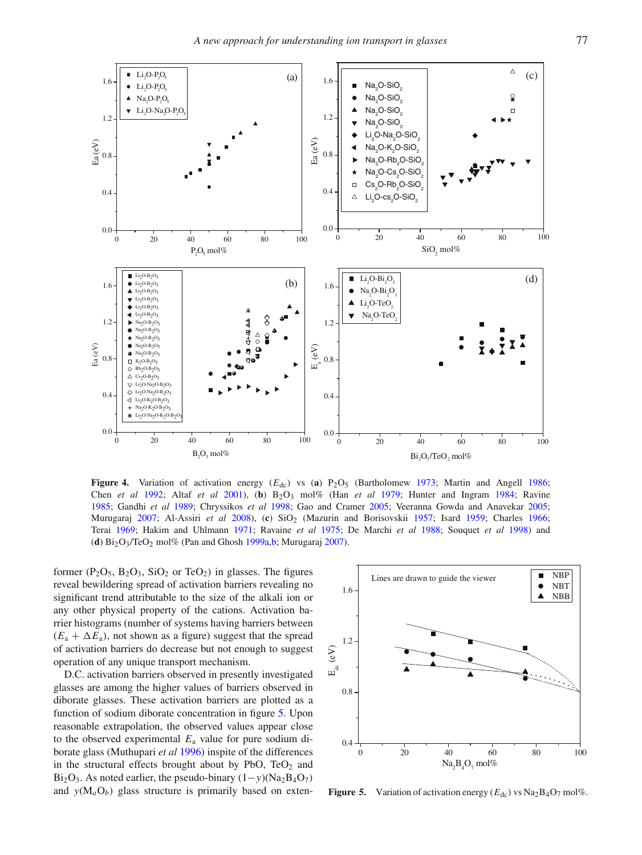<span id="page-6-0"></span>

**Figure 4.** Variation of activation energy (*E*dc) vs (**a**) P2O5 (Bartholome[w](#page-13-35) [1973](#page-13-35); Martin and Angel[l](#page-13-28) [1986](#page-13-28); Chen *et a[l](#page-13-42)* [1992](#page-13-42); Altaf *et a[l](#page-13-47)* [2001\)](#page-13-47), (**b**) B2O3 mol% (Han *et a[l](#page-13-37)* [1979](#page-13-37); Hunter and Ingra[m](#page-13-38) [1984](#page-13-38); Ravin[e](#page-13-39) [1985;](#page-13-39) Gandhi *et a[l](#page-13-41)* [1989](#page-13-41); Chryssikos *et a[l](#page-13-43)* [1998](#page-13-43); Gao and Crame[r](#page-13-48) [2005;](#page-13-48) Veeranna Gowda and Anaveka[r](#page-14-5) [2005](#page-14-5); Murugara[j](#page-13-49) [2007](#page-13-49); Al-Assiri *et a[l](#page-13-50)* [2008\)](#page-13-50), (**c**) SiO2 (Mazurin and Borisovski[i](#page-13-31) [1957;](#page-13-31) Isar[d](#page-13-32) [1959](#page-13-32); Charle[s](#page-13-33) [1966](#page-13-33); Tera[i](#page-14-4) [1969](#page-14-4); Hakim and Uhlman[n](#page-13-34) [1971;](#page-13-34) Ravaine *et a[l](#page-13-36)* [1975;](#page-13-36) De Marchi *et a[l](#page-13-40)* [1988;](#page-13-40) Souquet *et a[l](#page-13-44)* [1998](#page-13-44)) and (**d**) Bi2O3/TeO2 mol% (Pan and Ghos[h](#page-13-45) [1999a](#page-13-45)[,b](#page-13-46); Murugara[j](#page-13-49) [2007](#page-13-49)).

former  $(P_2O_5, B_2O_3, SiO_2 \text{ or } TeO_2)$  in glasses. The figures reveal bewildering spread of activation barriers revealing no significant trend attributable to the size of the alkali ion or any other physical property of the cations. Activation barrier histograms (number of systems having barriers between  $(E_a + \Delta E_a)$ , not shown as a figure) suggest that the spread of activation barriers do decrease but not enough to suggest operation of any unique transport mechanism.

D.C. activation barriers observed in presently investigated glasses are among the higher values of barriers observed in diborate glasses. These activation barriers are plotted as a function of sodium diborate concentration in figure [5.](#page-6-1) Upon reasonable extrapolation, the observed values appear close to the observed experimental *E*<sup>a</sup> value for pure sodium diborate glass (Muthupari *et a[l](#page-13-24)* [1996\)](#page-13-24) inspite of the differences in the structural effects brought about by PbO,  $TeO<sub>2</sub>$  and Bi2O3. As noted earlier, the pseudo-binary (1−*y*)(Na2B4O7) and  $y(M_aO_b)$  glass structure is primarily based on exten-



<span id="page-6-1"></span>**Figure 5.** Variation of activation energy  $(E_{dc})$  vs  $\text{Na}_2\text{B}_4\text{O}_7$  mol%.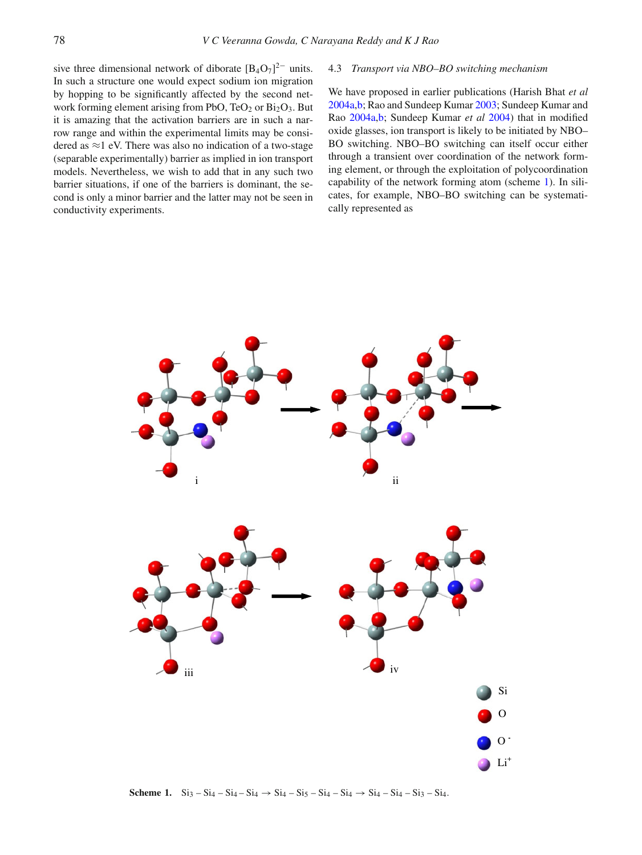sive three dimensional network of diborate  $[B_4O_7]^{2-}$  units. In such a structure one would expect sodium ion migration by hopping to be significantly affected by the second network forming element arising from PbO, TeO<sub>2</sub> or Bi<sub>2</sub>O<sub>3</sub>. But it is amazing that the activation barriers are in such a narrow range and within the experimental limits may be considered as  $\approx$ 1 eV. There was also no indication of a two-stage (separable experimentally) barrier as implied in ion transport models. Nevertheless, we wish to add that in any such two barrier situations, if one of the barriers is dominant, the second is only a minor barrier and the latter may not be seen in conductivity experiments.

#### 4.3 *Transport via NBO–BO switching mechanism*

We have proposed in earlier publications (Harish Bhat *et al* [2004a](#page-13-29)[,b;](#page-13-30) Rao and Sundeep Kumar [2003;](#page-13-51) Sundeep Kumar and Rao [2004a](#page-14-0)[,b;](#page-14-1) Sundeep Kumar *et al* [2004\)](#page-14-6) that in modified oxide glasses, ion transport is likely to be initiated by NBO– BO switching. NBO–BO switching can itself occur either through a transient over coordination of the network forming element, or through the exploitation of polycoordination capability of the network forming atom (scheme [1\)](#page-7-0). In silicates, for example, NBO–BO switching can be systematically represented as

<span id="page-7-0"></span>

**Scheme 1.**  $\text{Si}_3 - \text{Si}_4 - \text{Si}_4 \rightarrow \text{Si}_4 - \text{Si}_5 - \text{Si}_4 - \text{Si}_4 \rightarrow \text{Si}_4 - \text{Si}_4 - \text{Si}_3 - \text{Si}_4.$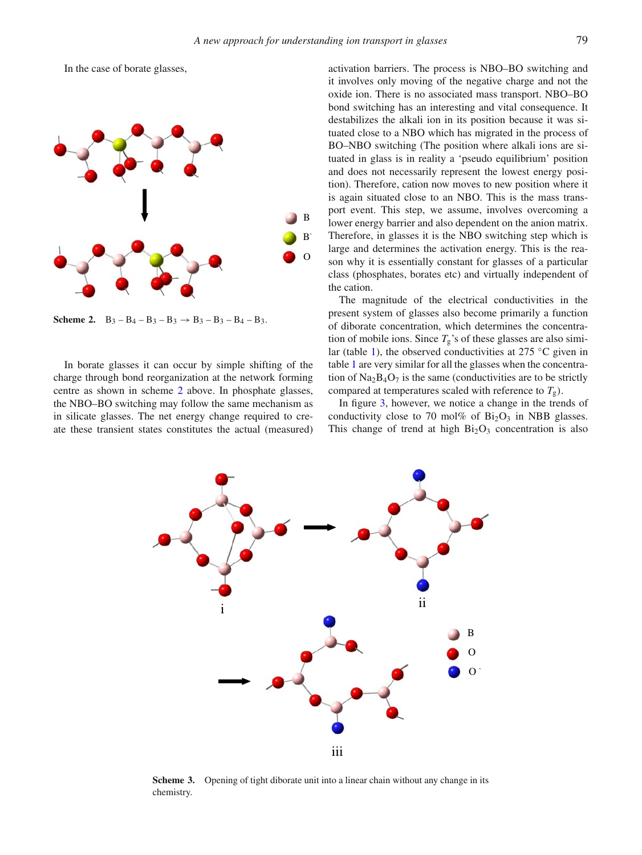In the case of borate glasses,

<span id="page-8-0"></span>

**Scheme 2.**  $B_3 - B_4 - B_3 - B_3 \rightarrow B_3 - B_3 - B_4 - B_3$ .

In borate glasses it can occur by simple shifting of the charge through bond reorganization at the network forming centre as shown in scheme [2](#page-8-0) above. In phosphate glasses, the NBO–BO switching may follow the same mechanism as in silicate glasses. The net energy change required to create these transient states constitutes the actual (measured) activation barriers. The process is NBO–BO switching and it involves only moving of the negative charge and not the oxide ion. There is no associated mass transport. NBO–BO bond switching has an interesting and vital consequence. It destabilizes the alkali ion in its position because it was situated close to a NBO which has migrated in the process of BO–NBO switching (The position where alkali ions are situated in glass is in reality a 'pseudo equilibrium' position and does not necessarily represent the lowest energy position). Therefore, cation now moves to new position where it is again situated close to an NBO. This is the mass transport event. This step, we assume, involves overcoming a lower energy barrier and also dependent on the anion matrix. Therefore, in glasses it is the NBO switching step which is large and determines the activation energy. This is the reason why it is essentially constant for glasses of a particular class (phosphates, borates etc) and virtually independent of the cation.

The magnitude of the electrical conductivities in the present system of glasses also become primarily a function of diborate concentration, which determines the concentration of mobile ions. Since  $T_g$ 's of these glasses are also simi-lar (table [1\)](#page-2-0), the observed conductivities at 275 °C given in table [1](#page-2-0) are very similar for all the glasses when the concentration of  $Na<sub>2</sub>B<sub>4</sub>O<sub>7</sub>$  is the same (conductivities are to be strictly compared at temperatures scaled with reference to  $T_g$ ).

In figure [3,](#page-4-0) however, we notice a change in the trends of conductivity close to 70 mol% of  $Bi<sub>2</sub>O<sub>3</sub>$  in NBB glasses. This change of trend at high  $Bi<sub>2</sub>O<sub>3</sub>$  concentration is also

<span id="page-8-1"></span>

**Scheme 3.** Opening of tight diborate unit into a linear chain without any change in its chemistry.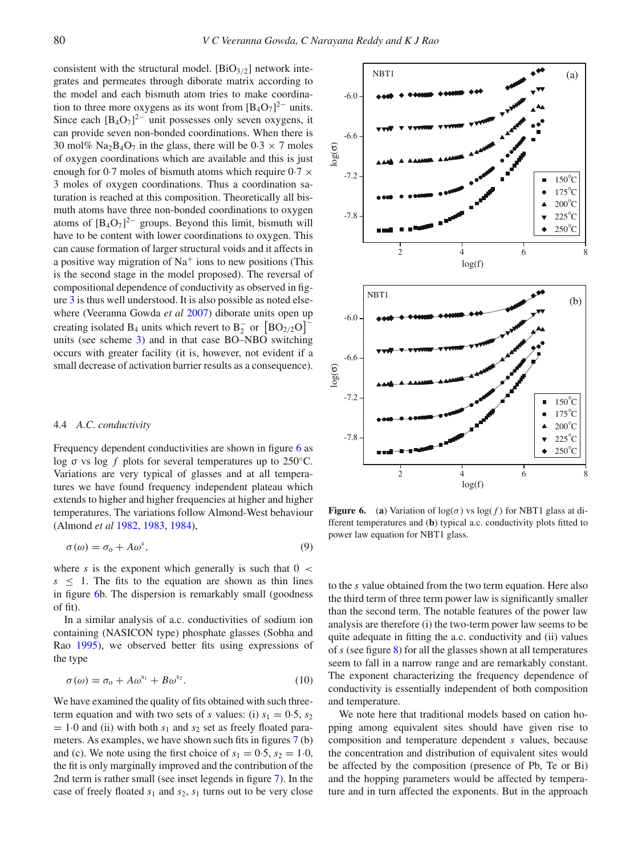consistent with the structural model.  $[BiO_{3/2}]$  network integrates and permeates through diborate matrix according to the model and each bismuth atom tries to make coordination to three more oxygens as its wont from  $[B_4O_7]^{2-}$  units. Since each  $[B_4O_7]^2$  unit possesses only seven oxygens, it can provide seven non-bonded coordinations. When there is 30 mol% Na<sub>2</sub>B<sub>4</sub>O<sub>7</sub> in the glass, there will be  $0.3 \times 7$  moles of oxygen coordinations which are available and this is just enough for 0.7 moles of bismuth atoms which require  $0.7 \times$ 3 moles of oxygen coordinations. Thus a coordination saturation is reached at this composition. Theoretically all bismuth atoms have three non-bonded coordinations to oxygen atoms of  $[B_4O_7]^2$  groups. Beyond this limit, bismuth will have to be content with lower coordinations to oxygen. This can cause formation of larger structural voids and it affects in a positive way migration of  $Na<sup>+</sup>$  ions to new positions (This is the second stage in the model proposed). The reversal of compositional dependence of conductivity as observed in figure [3](#page-4-0) is thus well understood. It is also possible as noted elsewhere (Veeranna Gowda *et a[l](#page-14-3)* [2007](#page-14-3)) diborate units open up creating isolated B<sub>4</sub> units which revert to B<sub>2</sub> or  $[BO_{2/2}O]$ <sup>-</sup> units (see scheme [3\)](#page-8-1) and in that case BO–NBO switching occurs with greater facility (it is, however, not evident if a small decrease of activation barrier results as a consequence).

# 4.4 *A.C. conductivity*

Frequency dependent conductivities are shown in figure [6](#page-9-0) as log σ vs log *f* plots for several temperatures up to 250◦C. Variations are very typical of glasses and at all temperatures we have found frequency independent plateau which extends to higher and higher frequencies at higher and higher temperatures. The variations follow Almond-West behaviour (Almond *et a[l](#page-13-52)* [1982,](#page-13-52) [1983,](#page-13-53) [1984\)](#page-13-54),

$$
\sigma(\omega) = \sigma_0 + A\omega^s,\tag{9}
$$

where  $s$  is the exponent which generally is such that  $0 <$  $s \leq 1$ . The fits to the equation are shown as thin lines in figure [6b](#page-9-0). The dispersion is remarkably small (goodness of fit).

In a similar analysis of a.c. conductivities of sodium ion containing (NASICON type) phosphate glasses (Sobha and Ra[o](#page-13-55) [1995\)](#page-13-55), we observed better fits using expressions of the type

$$
\sigma(\omega) = \sigma_0 + A\omega^{s_1} + B\omega^{s_2}.
$$
 (10)

We have examined the quality of fits obtained with such threeterm equation and with two sets of *s* values: (i)  $s_1 = 0.5$ ,  $s_2$  $= 1.0$  and (ii) with both  $s_1$  and  $s_2$  set as freely floated parameters. As examples, we have shown such fits in figures [7](#page-10-0) (b) and (c). We note using the first choice of  $s_1 = 0.5$ ,  $s_2 = 1.0$ , the fit is only marginally improved and the contribution of the 2nd term is rather small (see inset legends in figure [7\)](#page-10-0). In the case of freely floated  $s_1$  and  $s_2$ ,  $s_1$  turns out to be very close

<span id="page-9-0"></span>

**Figure 6.** (a) Variation of  $\log(\sigma)$  vs  $\log(f)$  for NBT1 glass at different temperatures and (**b**) typical a.c. conductivity plots fitted to power law equation for NBT1 glass.

to the *s* value obtained from the two term equation. Here also the third term of three term power law is significantly smaller than the second term. The notable features of the power law analysis are therefore (i) the two-term power law seems to be quite adequate in fitting the a.c. conductivity and (ii) values of *s* (see figure [8\)](#page-11-0) for all the glasses shown at all temperatures seem to fall in a narrow range and are remarkably constant. The exponent characterizing the frequency dependence of conductivity is essentially independent of both composition and temperature.

We note here that traditional models based on cation hopping among equivalent sites should have given rise to composition and temperature dependent *s* values, because the concentration and distribution of equivalent sites would be affected by the composition (presence of Pb, Te or Bi) and the hopping parameters would be affected by temperature and in turn affected the exponents. But in the approach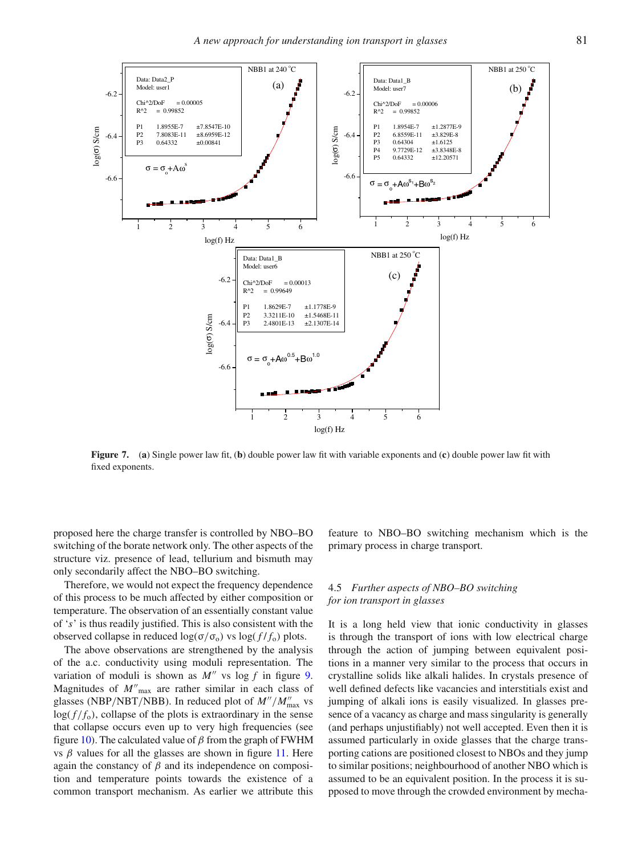<span id="page-10-0"></span>

**Figure 7.** (**a**) Single power law fit, (**b**) double power law fit with variable exponents and (**c**) double power law fit with fixed exponents.

proposed here the charge transfer is controlled by NBO–BO switching of the borate network only. The other aspects of the structure viz. presence of lead, tellurium and bismuth may only secondarily affect the NBO–BO switching.

Therefore, we would not expect the frequency dependence of this process to be much affected by either composition or temperature. The observation of an essentially constant value of '*s*' is thus readily justified. This is also consistent with the observed collapse in reduced  $log(σ/σ<sub>o</sub>)$  vs  $log(f/f<sub>o</sub>)$  plots.

The above observations are strengthened by the analysis of the a.c. conductivity using moduli representation. The variation of moduli is shown as  $M''$  vs log f in figure [9.](#page-11-1) Magnitudes of *M* max are rather similar in each class of glasses (NBP/NBT/NBB). In reduced plot of  $M''/M''_{\text{max}}$  vs  $log(f/f<sub>o</sub>)$ , collapse of the plots is extraordinary in the sense that collapse occurs even up to very high frequencies (see figure [10\)](#page-11-2). The calculated value of  $\beta$  from the graph of FWHM vs  $β$  values for all the glasses are shown in figure [11.](#page-11-3) Here again the constancy of  $\beta$  and its independence on composition and temperature points towards the existence of a common transport mechanism. As earlier we attribute this feature to NBO–BO switching mechanism which is the primary process in charge transport.

# 4.5 *Further aspects of NBO–BO switching for ion transport in glasses*

It is a long held view that ionic conductivity in glasses is through the transport of ions with low electrical charge through the action of jumping between equivalent positions in a manner very similar to the process that occurs in crystalline solids like alkali halides. In crystals presence of well defined defects like vacancies and interstitials exist and jumping of alkali ions is easily visualized. In glasses presence of a vacancy as charge and mass singularity is generally (and perhaps unjustifiably) not well accepted. Even then it is assumed particularly in oxide glasses that the charge transporting cations are positioned closest to NBOs and they jump to similar positions; neighbourhood of another NBO which is assumed to be an equivalent position. In the process it is supposed to move through the crowded environment by mecha-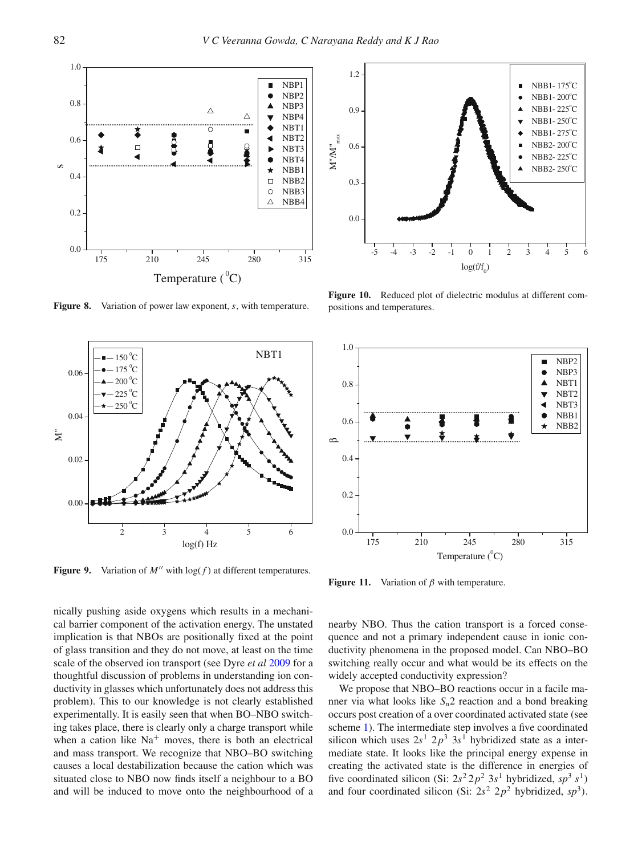<span id="page-11-0"></span>

**Figure 8.** Variation of power law exponent, *s*, with temperature.

<span id="page-11-1"></span>

**Figure 9.** Variation of  $M''$  with  $\log(f)$  at different temperatures.

nically pushing aside oxygens which results in a mechanical barrier component of the activation energy. The unstated implication is that NBOs are positionally fixed at the point of glass transition and they do not move, at least on the time scale of the observed ion transport (see Dyre *et al* [2009](#page-13-16) for a thoughtful discussion of problems in understanding ion conductivity in glasses which unfortunately does not address this problem). This to our knowledge is not clearly established experimentally. It is easily seen that when BO–NBO switching takes place, there is clearly only a charge transport while when a cation like  $Na<sup>+</sup>$  moves, there is both an electrical and mass transport. We recognize that NBO–BO switching causes a local destabilization because the cation which was situated close to NBO now finds itself a neighbour to a BO and will be induced to move onto the neighbourhood of a

<span id="page-11-2"></span>

**Figure 10.** Reduced plot of dielectric modulus at different compositions and temperatures.

<span id="page-11-3"></span>

**Figure 11.** Variation of  $\beta$  with temperature.

nearby NBO. Thus the cation transport is a forced consequence and not a primary independent cause in ionic conductivity phenomena in the proposed model. Can NBO–BO switching really occur and what would be its effects on the widely accepted conductivity expression?

We propose that NBO–BO reactions occur in a facile manner via what looks like *S*n2 reaction and a bond breaking occurs post creation of a over coordinated activated state (see scheme [1\)](#page-7-0). The intermediate step involves a five coordinated silicon which uses  $2s^1$   $2p^3$   $3s^1$  hybridized state as a intermediate state. It looks like the principal energy expense in creating the activated state is the difference in energies of five coordinated silicon (Si:  $2s^2 2p^2 3s^1$  hybridized,  $sp^3 s^1$ ) and four coordinated silicon (Si:  $2s^2$  2 $p^2$  hybridized,  $sp^3$ ).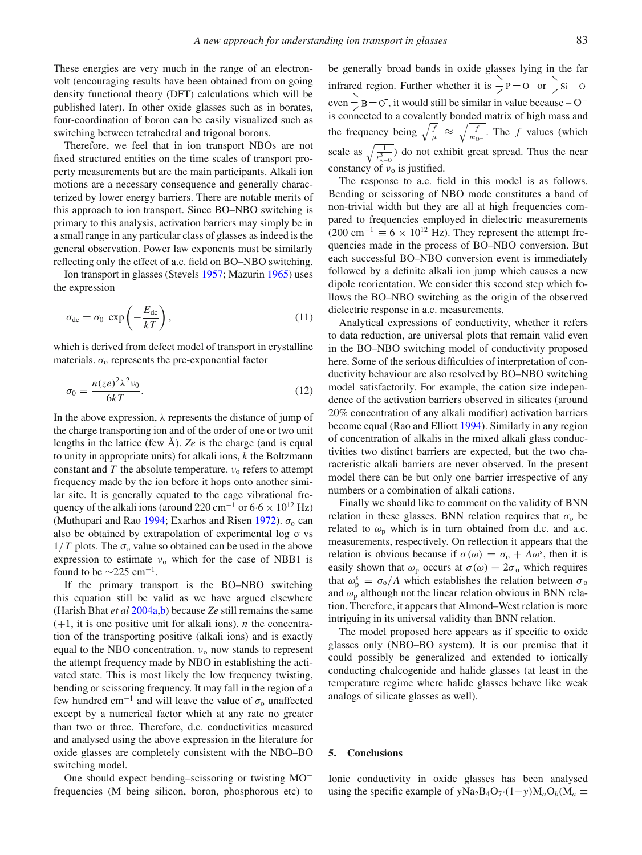These energies are very much in the range of an electronvolt (encouraging results have been obtained from on going density functional theory (DFT) calculations which will be published later). In other oxide glasses such as in borates, four-coordination of boron can be easily visualized such as switching between tetrahedral and trigonal borons.

Therefore, we feel that in ion transport NBOs are not fixed structured entities on the time scales of transport property measurements but are the main participants. Alkali ion motions are a necessary consequence and generally characterized by lower energy barriers. There are notable merits of this approach to ion transport. Since BO–NBO switching is primary to this analysis, activation barriers may simply be in a small range in any particular class of glasses as indeed is the general observation. Power law exponents must be similarly reflecting only the effect of a.c. field on BO–NBO switching.

Ion transport in glasses (Stevel[s](#page-14-7) [1957;](#page-14-7) Mazuri[n](#page-13-56) [1965\)](#page-13-56) uses the expression

$$
\sigma_{\rm dc} = \sigma_0 \, \exp\left(-\frac{E_{\rm dc}}{kT}\right),\tag{11}
$$

which is derived from defect model of transport in crystalline materials.  $\sigma_0$  represents the pre-exponential factor

$$
\sigma_0 = \frac{n(ze)^2 \lambda^2 \nu_0}{6kT}.
$$
\n(12)

In the above expression,  $\lambda$  represents the distance of jump of the charge transporting ion and of the order of one or two unit lengths in the lattice (few Å). *Ze* is the charge (and is equal to unity in appropriate units) for alkali ions, *k* the Boltzmann constant and  $T$  the absolute temperature.  $v_0$  refers to attempt frequency made by the ion before it hops onto another similar site. It is generally equated to the cage vibrational frequency of the alkali ions (around 220 cm<sup>-1</sup> or  $6.6 \times 10^{12}$  Hz) (Muthupari and Ra[o](#page-13-57) [1994](#page-13-57); Exarhos a[n](#page-13-58)d Risen [1972](#page-13-58)).  $\sigma_0$  can also be obtained by extrapolation of experimental log σ vs  $1/T$  plots. The  $\sigma_0$  value so obtained can be used in the above expression to estimate  $v_0$  which for the case of NBB1 is found to be  $\sim$ 225 cm<sup>-1</sup>.

If the primary transport is the BO–NBO switching this equation still be valid as we have argued elsewhere (Harish Bhat *et a[l](#page-13-29)* [2004a](#page-13-29)[,b\)](#page-13-30) because *Ze* still remains the same  $(+1, it is one positive unit for alkali ions)$ . *n* the concentration of the transporting positive (alkali ions) and is exactly equal to the NBO concentration.  $v_0$  now stands to represent the attempt frequency made by NBO in establishing the activated state. This is most likely the low frequency twisting, bending or scissoring frequency. It may fall in the region of a few hundred cm<sup>-1</sup> and will leave the value of  $\sigma_0$  unaffected except by a numerical factor which at any rate no greater than two or three. Therefore, d.c. conductivities measured and analysed using the above expression in the literature for oxide glasses are completely consistent with the NBO–BO switching model.

One should expect bending–scissoring or twisting MO<sup>−</sup> frequencies (M being silicon, boron, phosphorous etc) to be generally broad bands in oxide glasses lying in the far infrared region. Further whether it is  $\frac{1}{2}P - O$  or  $\frac{1}{2}Si - O$ even  $\overrightarrow{B}$  = O $\overrightarrow{C}$ , it would still be similar in value because – O<sup>-</sup> is connected to a covalently bonded matrix of high mass and the frequency being  $\sqrt{\frac{f}{\mu}} \approx \sqrt{\frac{f}{m_{0^-}}}$ . The *f* values (which scale as  $\sqrt{\frac{1}{r_{m-0}^3}}$  do not exhibit great spread. Thus the near constancy of  $v_0$  is justified.

The response to a.c. field in this model is as follows. Bending or scissoring of NBO mode constitutes a band of non-trivial width but they are all at high frequencies compared to frequencies employed in dielectric measurements (200 cm<sup>-1</sup>  $\equiv$  6 × 10<sup>12</sup> Hz). They represent the attempt frequencies made in the process of BO–NBO conversion. But each successful BO–NBO conversion event is immediately followed by a definite alkali ion jump which causes a new dipole reorientation. We consider this second step which follows the BO–NBO switching as the origin of the observed dielectric response in a.c. measurements.

Analytical expressions of conductivity, whether it refers to data reduction, are universal plots that remain valid even in the BO–NBO switching model of conductivity proposed here. Some of the serious difficulties of interpretation of conductivity behaviour are also resolved by BO–NBO switching model satisfactorily. For example, the cation size independence of the activation barriers observed in silicates (around 20% concentration of any alkali modifier) activation barriers become equal (Rao and Elliot[t](#page-13-59) [1994\)](#page-13-59). Similarly in any region of concentration of alkalis in the mixed alkali glass conductivities two distinct barriers are expected, but the two characteristic alkali barriers are never observed. In the present model there can be but only one barrier irrespective of any numbers or a combination of alkali cations.

Finally we should like to comment on the validity of BNN relation in these glasses. BNN relation requires that  $\sigma_0$  be related to  $\omega_p$  which is in turn obtained from d.c. and a.c. measurements, respectively. On reflection it appears that the relation is obvious because if  $\sigma(\omega) = \sigma_0 + A\omega^s$ , then it is easily shown that  $\omega_p$  occurs at  $\sigma(\omega) = 2\sigma_o$  which requires that  $\omega_p^s = \sigma_o/A$  which establishes the relation between  $\sigma_o$ and  $\omega_p$  although not the linear relation obvious in BNN relation. Therefore, it appears that Almond–West relation is more intriguing in its universal validity than BNN relation.

The model proposed here appears as if specific to oxide glasses only (NBO–BO system). It is our premise that it could possibly be generalized and extended to ionically conducting chalcogenide and halide glasses (at least in the temperature regime where halide glasses behave like weak analogs of silicate glasses as well).

# **5. Conclusions**

Ionic conductivity in oxide glasses has been analysed using the specific example of *y*Na<sub>2</sub>B<sub>4</sub>O<sub>7</sub>·(1−*y*)M<sub>a</sub>O<sub>*b*</sub>(M<sub>a</sub> ≡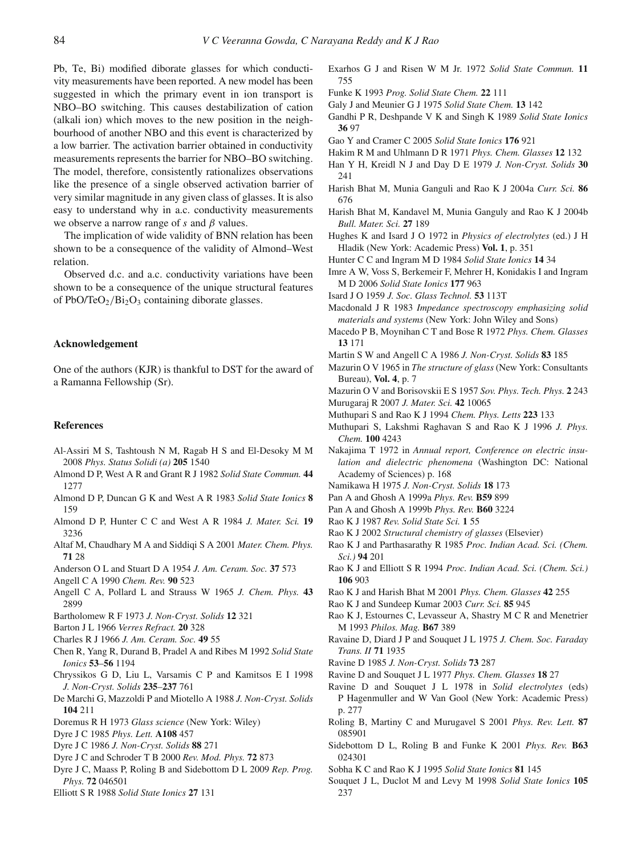Pb, Te, Bi) modified diborate glasses for which conductivity measurements have been reported. A new model has been suggested in which the primary event in ion transport is NBO–BO switching. This causes destabilization of cation (alkali ion) which moves to the new position in the neighbourhood of another NBO and this event is characterized by a low barrier. The activation barrier obtained in conductivity measurements represents the barrier for NBO–BO switching. The model, therefore, consistently rationalizes observations like the presence of a single observed activation barrier of very similar magnitude in any given class of glasses. It is also easy to understand why in a.c. conductivity measurements we observe a narrow range of  $s$  and  $\beta$  values.

The implication of wide validity of BNN relation has been shown to be a consequence of the validity of Almond–West relation.

Observed d.c. and a.c. conductivity variations have been shown to be a consequence of the unique structural features of PbO/TeO<sub>2</sub>/Bi<sub>2</sub>O<sub>3</sub> containing diborate glasses.

# **Acknowledgement**

One of the authors (KJR) is thankful to DST for the award of a Ramanna Fellowship (Sr).

# **References**

- <span id="page-13-50"></span>Al-Assiri M S, Tashtoush N M, Ragab H S and El-Desoky M M 2008 *Phys. Status Solidi (a)* **205** 1540
- <span id="page-13-52"></span>Almond D P, West A R and Grant R J 1982 *Solid State Commun.* **44** 1277
- <span id="page-13-53"></span>Almond D P, Duncan G K and West A R 1983 *Solid State Ionics* **8** 159
- <span id="page-13-54"></span>Almond D P, Hunter C C and West A R 1984 *J. Mater. Sci.* **19** 3236
- <span id="page-13-47"></span>Altaf M, Chaudhary M A and Siddiqi S A 2001 *Mater. Chem. Phys.* **71** 28
- <span id="page-13-26"></span>Anderson O L and Stuart D A 1954 *J. Am. Ceram. Soc.* **37** 573
- <span id="page-13-0"></span>Angell C A 1990 *Chem. Rev.* **90** 523
- <span id="page-13-5"></span>Angell C A, Pollard L and Strauss W 1965 *J. Chem. Phys.* **43** 2899
- <span id="page-13-35"></span>Bartholomew R F 1973 *J. Non-Cryst. Solids* **12** 321
- <span id="page-13-17"></span>Barton J L 1966 *Verres Refract.* **20** 328
- <span id="page-13-33"></span>Charles R J 1966 *J. Am. Ceram. Soc.* **49** 55
- <span id="page-13-42"></span>Chen R, Yang R, Durand B, Pradel A and Ribes M 1992 *Solid State Ionics* **53**–**56** 1194
- <span id="page-13-43"></span>Chryssikos G D, Liu L, Varsamis C P and Kamitsos E I 1998 *J. Non-Cryst. Solids* **235**–**237** 761
- <span id="page-13-40"></span>De Marchi G, Mazzoldi P and Miotello A 1988 *J. Non-Cryst. Solids* **104** 211
- <span id="page-13-10"></span>Doremus R H 1973 *Glass science* (New York: Wiley)
- <span id="page-13-13"></span>Dyre J C 1985 *Phys. Lett.* **A108** 457
- <span id="page-13-14"></span>Dyre J C 1986 *J. Non-Cryst. Solids* **88** 271
- <span id="page-13-15"></span>Dyre J C and Schroder T B 2000 *Rev. Mod. Phys.* **72** 873
- <span id="page-13-16"></span>Dyre J C, Maass P, Roling B and Sidebottom D L 2009 *Rep. Prog. Phys.* **72** 046501
- <span id="page-13-2"></span>Elliott S R 1988 *Solid State Ionics* **27** 131
- <span id="page-13-58"></span>Exarhos G J and Risen W M Jr. 1972 *Solid State Commun.* **11** 755
- <span id="page-13-1"></span>Funke K 1993 *Prog. Solid State Chem.* **22** 111
- <span id="page-13-21"></span>Galy J and Meunier G J 1975 *Solid State Chem.* **13** 142
- <span id="page-13-41"></span>Gandhi P R, Deshpande V K and Singh K 1989 *Solid State Ionics* **36** 97
- <span id="page-13-48"></span>Gao Y and Cramer C 2005 *Solid State Ionics* **176** 921
- <span id="page-13-34"></span>Hakim R M and Uhlmann D R 1971 *Phys. Chem. Glasses* **12** 132
- <span id="page-13-37"></span>Han Y H, Kreidl N J and Day D E 1979 *J. Non-Cryst. Solids* **30** 241
- <span id="page-13-29"></span>Harish Bhat M, Munia Ganguli and Rao K J 2004a *Curr. Sci.* **86** 676
- <span id="page-13-30"></span>Harish Bhat M, Kandavel M, Munia Ganguly and Rao K J 2004b *Bull. Mater. Sci.* **27** 189
- <span id="page-13-9"></span>Hughes K and Isard J O 1972 in *Physics of electrolytes* (ed.) J H Hladik (New York: Academic Press) **Vol. 1**, p. 351
- <span id="page-13-38"></span>Hunter C C and Ingram M D 1984 *Solid State Ionics* **14** 34
- <span id="page-13-8"></span>Imre A W, Voss S, Berkemeir F, Mehrer H, Konidakis I and Ingram M D 2006 *Solid State Ionics* **177** 963
- <span id="page-13-32"></span>Isard J O 1959 *J. Soc. Glass Technol.* **53** 113T
- <span id="page-13-22"></span>Macdonald J R 1983 *Impedance spectroscopy emphasizing solid materials and systems* (New York: John Wiley and Sons)
- <span id="page-13-23"></span>Macedo P B, Moynihan C T and Bose R 1972 *Phys. Chem. Glasses* **13** 171
- <span id="page-13-28"></span>Martin S W and Angell C A 1986 *J. Non-Cryst. Solids* **83** 185
- <span id="page-13-56"></span>Mazurin O V 1965 in *The structure of glass* (New York: Consultants Bureau), **Vol. 4**, p. 7
- <span id="page-13-31"></span>Mazurin O V and Borisovskii E S 1957 *Sov. Phys. Tech. Phys.* **2** 243
- <span id="page-13-49"></span>Murugaraj R 2007 *J. Mater. Sci.* **42** 10065
- <span id="page-13-57"></span>Muthupari S and Rao K J 1994 *Chem. Phys. Letts* **223** 133
- <span id="page-13-24"></span>Muthupari S, Lakshmi Raghavan S and Rao K J 1996 *J. Phys. Chem.* **100** 4243
- <span id="page-13-18"></span>Nakajima T 1972 in *Annual report, Conference on electric insulation and dielectric phenomena* (Washington DC: National Academy of Sciences) p. 168
- <span id="page-13-19"></span>Namikawa H 1975 *J. Non-Cryst. Solids* **18** 173
- <span id="page-13-45"></span>Pan A and Ghosh A 1999a *Phys. Rev.* **B59** 899
- <span id="page-13-46"></span>Pan A and Ghosh A 1999b *Phys. Rev.* **B60** 3224
- <span id="page-13-6"></span>Rao K J 1987 *Rev. Solid State Sci.* **1** 55
- <span id="page-13-7"></span>Rao K J 2002 *Structural chemistry of glasses* (Elsevier)
- <span id="page-13-12"></span>Rao K J and Parthasarathy R 1985 *Proc. Indian Acad. Sci. (Chem. Sci.)* **94** 201
- <span id="page-13-59"></span>Rao K J and Elliott S R 1994 *Proc. Indian Acad. Sci. (Chem. Sci.)* **106** 903
- <span id="page-13-20"></span>Rao K J and Harish Bhat M 2001 *Phys. Chem. Glasses* **42** 255
- <span id="page-13-51"></span>Rao K J and Sundeep Kumar 2003 *Curr. Sci.* **85** 945
- <span id="page-13-25"></span>Rao K J, Estournes C, Levasseur A, Shastry M C R and Menetrier M 1993 *Philos. Mag.* **B67** 389
- <span id="page-13-36"></span>Ravaine D, Diard J P and Souquet J L 1975 *J. Chem. Soc. Faraday Trans. II* **71** 1935
- <span id="page-13-39"></span>Ravine D 1985 *J. Non-Cryst. Solids* **73** 287
- <span id="page-13-27"></span>Ravine D and Souquet J L 1977 *Phys. Chem. Glasses* **18** 27
- <span id="page-13-11"></span>Ravine D and Souquet J L 1978 in *Solid electrolytes* (eds) P Hagenmuller and W Van Gool (New York: Academic Press) p. 277
- <span id="page-13-4"></span>Roling B, Martiny C and Murugavel S 2001 *Phys. Rev. Lett.* **87** 085901
- <span id="page-13-3"></span>Sidebottom D L, Roling B and Funke K 2001 *Phys. Rev.* **B63** 024301
- <span id="page-13-55"></span>Sobha K C and Rao K J 1995 *Solid State Ionics* **81** 145
- <span id="page-13-44"></span>Souquet J L, Duclot M and Levy M 1998 *Solid State Ionics* **105** 237